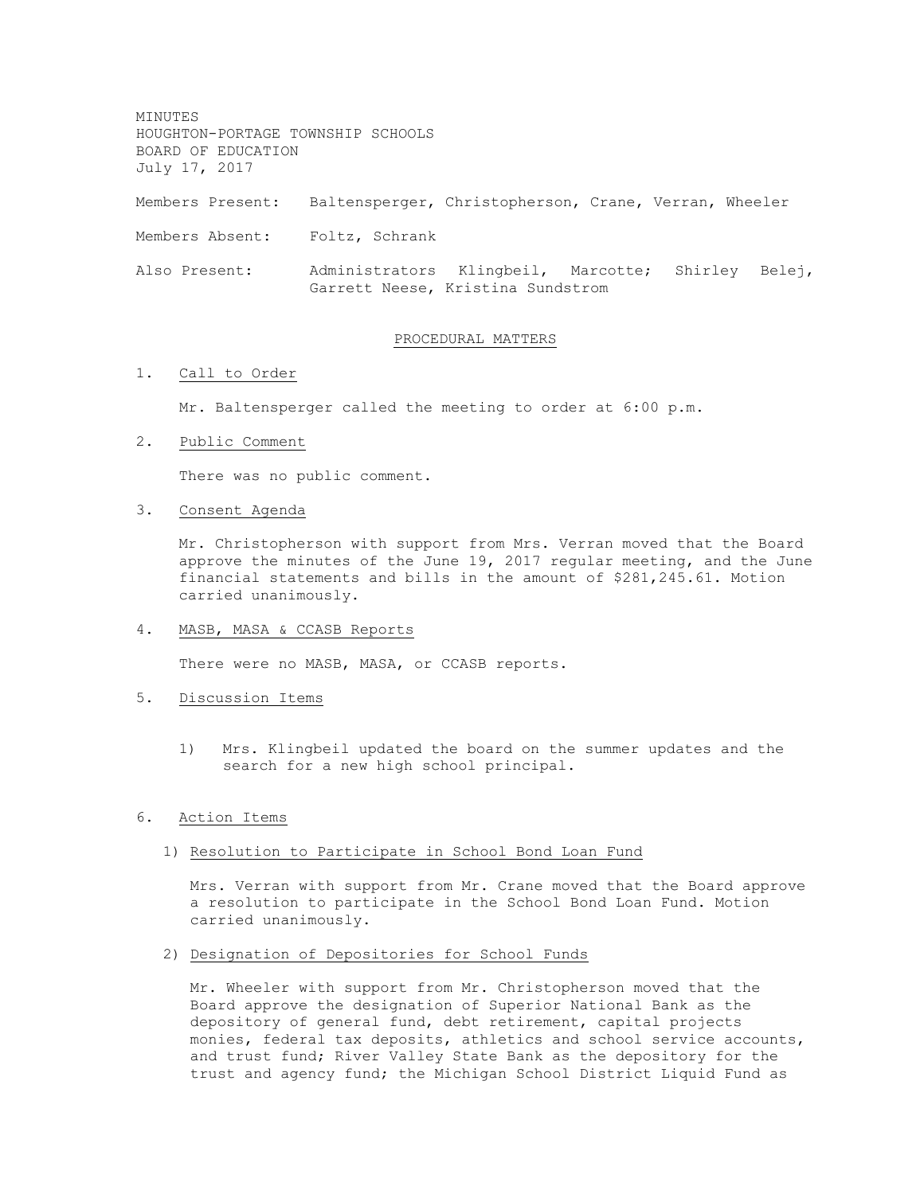MINUTES HOUGHTON-PORTAGE TOWNSHIP SCHOOLS BOARD OF EDUCATION July 17, 2017 Members Present: Baltensperger, Christopherson, Crane, Verran, Wheeler Members Absent: Foltz, Schrank Also Present: Administrators Klingbeil, Marcotte; Shirley Belej, Garrett Neese, Kristina Sundstrom

#### PROCEDURAL MATTERS

### 1. Call to Order

Mr. Baltensperger called the meeting to order at 6:00 p.m.

2. Public Comment

There was no public comment.

3. Consent Agenda

Mr. Christopherson with support from Mrs. Verran moved that the Board approve the minutes of the June 19, 2017 regular meeting, and the June financial statements and bills in the amount of \$281,245.61. Motion carried unanimously.

4. MASB, MASA & CCASB Reports

There were no MASB, MASA, or CCASB reports.

- 5. Discussion Items
	- 1) Mrs. Klingbeil updated the board on the summer updates and the search for a new high school principal.
- 6. Action Items

#### 1) Resolution to Participate in School Bond Loan Fund

Mrs. Verran with support from Mr. Crane moved that the Board approve a resolution to participate in the School Bond Loan Fund. Motion carried unanimously.

2) Designation of Depositories for School Funds

Mr. Wheeler with support from Mr. Christopherson moved that the Board approve the designation of Superior National Bank as the depository of general fund, debt retirement, capital projects monies, federal tax deposits, athletics and school service accounts, and trust fund; River Valley State Bank as the depository for the trust and agency fund; the Michigan School District Liquid Fund as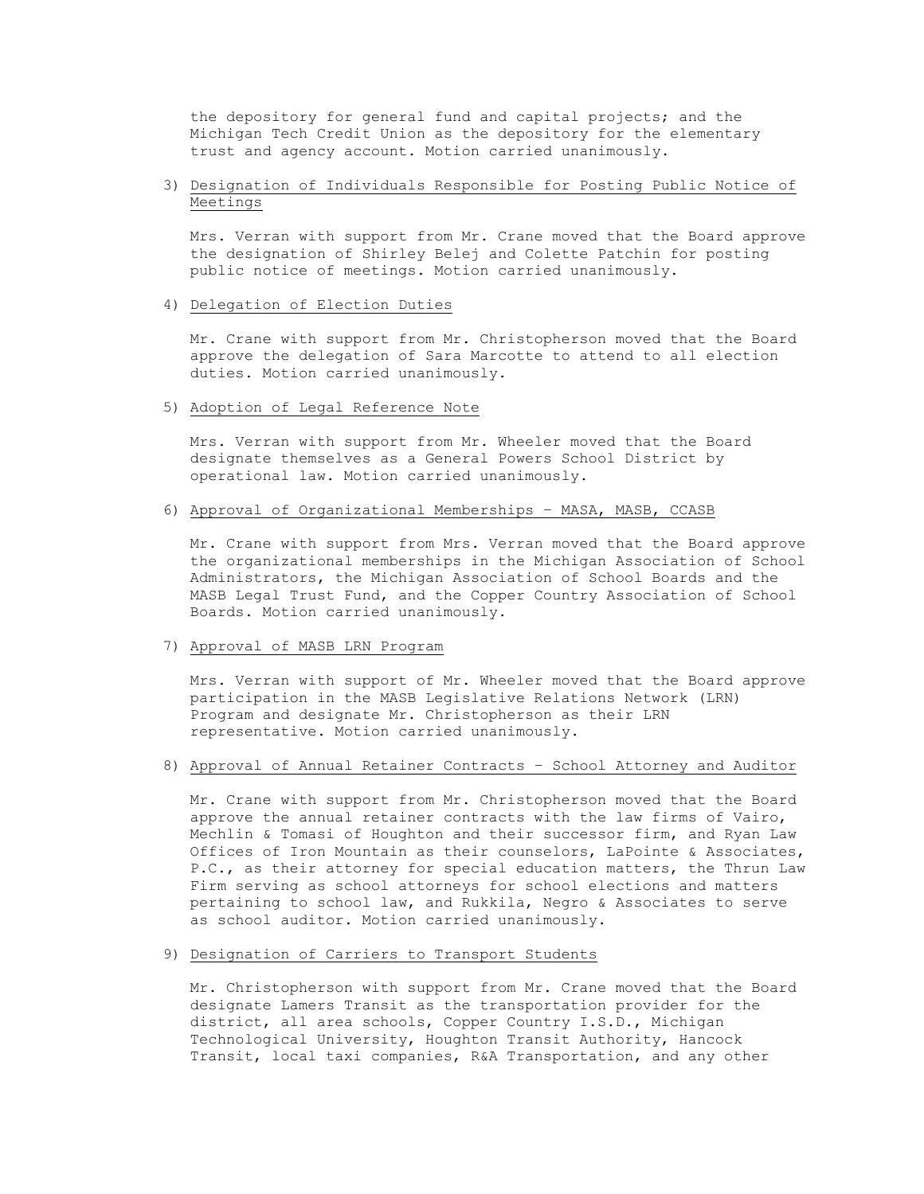the depository for general fund and capital projects; and the Michigan Tech Credit Union as the depository for the elementary trust and agency account. Motion carried unanimously.

## 3) Designation of Individuals Responsible for Posting Public Notice of Meetings

Mrs. Verran with support from Mr. Crane moved that the Board approve the designation of Shirley Belej and Colette Patchin for posting public notice of meetings. Motion carried unanimously.

## 4) Delegation of Election Duties

Mr. Crane with support from Mr. Christopherson moved that the Board approve the delegation of Sara Marcotte to attend to all election duties. Motion carried unanimously.

# 5) Adoption of Legal Reference Note

Mrs. Verran with support from Mr. Wheeler moved that the Board designate themselves as a General Powers School District by operational law. Motion carried unanimously.

## 6) Approval of Organizational Memberships – MASA, MASB, CCASB

Mr. Crane with support from Mrs. Verran moved that the Board approve the organizational memberships in the Michigan Association of School Administrators, the Michigan Association of School Boards and the MASB Legal Trust Fund, and the Copper Country Association of School Boards. Motion carried unanimously.

### 7) Approval of MASB LRN Program

Mrs. Verran with support of Mr. Wheeler moved that the Board approve participation in the MASB Legislative Relations Network (LRN) Program and designate Mr. Christopherson as their LRN representative. Motion carried unanimously.

### 8) Approval of Annual Retainer Contracts – School Attorney and Auditor

Mr. Crane with support from Mr. Christopherson moved that the Board approve the annual retainer contracts with the law firms of Vairo, Mechlin & Tomasi of Houghton and their successor firm, and Ryan Law Offices of Iron Mountain as their counselors, LaPointe & Associates, P.C., as their attorney for special education matters, the Thrun Law Firm serving as school attorneys for school elections and matters pertaining to school law, and Rukkila, Negro & Associates to serve as school auditor. Motion carried unanimously.

# 9) Designation of Carriers to Transport Students

Mr. Christopherson with support from Mr. Crane moved that the Board designate Lamers Transit as the transportation provider for the district, all area schools, Copper Country I.S.D., Michigan Technological University, Houghton Transit Authority, Hancock Transit, local taxi companies, R&A Transportation, and any other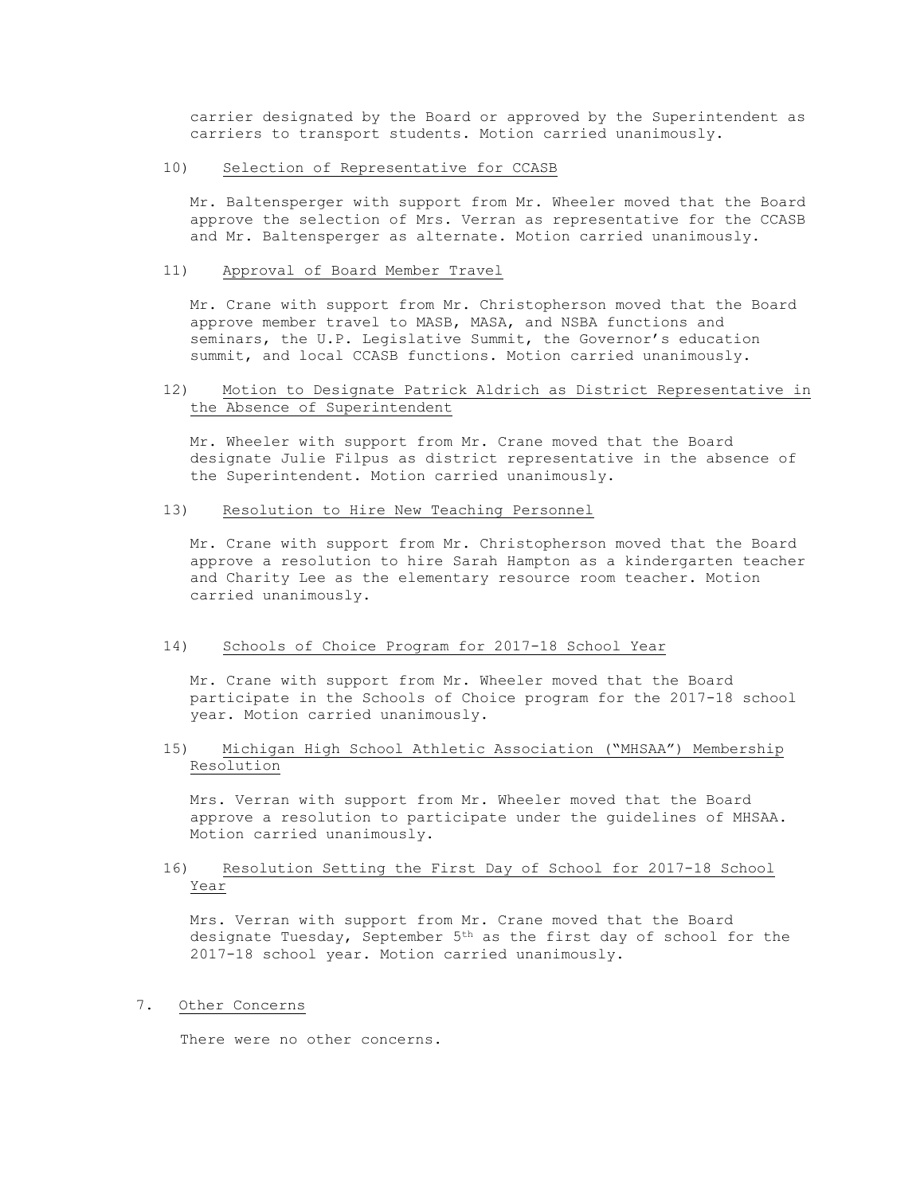carrier designated by the Board or approved by the Superintendent as carriers to transport students. Motion carried unanimously.

#### 10) Selection of Representative for CCASB

Mr. Baltensperger with support from Mr. Wheeler moved that the Board approve the selection of Mrs. Verran as representative for the CCASB and Mr. Baltensperger as alternate. Motion carried unanimously.

### 11) Approval of Board Member Travel

Mr. Crane with support from Mr. Christopherson moved that the Board approve member travel to MASB, MASA, and NSBA functions and seminars, the U.P. Legislative Summit, the Governor's education summit, and local CCASB functions. Motion carried unanimously.

## 12) Motion to Designate Patrick Aldrich as District Representative in the Absence of Superintendent

Mr. Wheeler with support from Mr. Crane moved that the Board designate Julie Filpus as district representative in the absence of the Superintendent. Motion carried unanimously.

### 13) Resolution to Hire New Teaching Personnel

Mr. Crane with support from Mr. Christopherson moved that the Board approve a resolution to hire Sarah Hampton as a kindergarten teacher and Charity Lee as the elementary resource room teacher. Motion carried unanimously.

# 14) Schools of Choice Program for 2017-18 School Year

Mr. Crane with support from Mr. Wheeler moved that the Board participate in the Schools of Choice program for the 2017-18 school year. Motion carried unanimously.

# 15) Michigan High School Athletic Association ("MHSAA") Membership Resolution

Mrs. Verran with support from Mr. Wheeler moved that the Board approve a resolution to participate under the guidelines of MHSAA. Motion carried unanimously.

# 16) Resolution Setting the First Day of School for 2017-18 School Year

Mrs. Verran with support from Mr. Crane moved that the Board designate Tuesday, September  $5<sup>th</sup>$  as the first day of school for the 2017-18 school year. Motion carried unanimously.

### 7. Other Concerns

There were no other concerns.